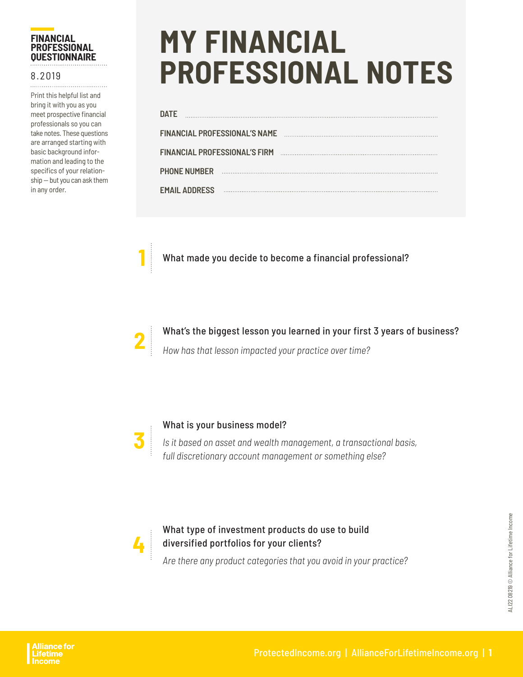# **FINANCIAL PROFESSIONAL QUESTIONNAIRE**

## 8.2019

Print this helpful list and bring it with you as you meet prospective financial professionals so you can take notes. These questions are arranged starting with basic background information and leading to the specifics of your relationship — but you can ask them in any order.

# **MY FINANCIAL PROFESSIONAL NOTES**

| <b>DATE</b>                          |                                      |  |
|--------------------------------------|--------------------------------------|--|
|                                      | <b>FINANCIAL PROFESSIONAL'S NAME</b> |  |
| <b>FINANCIAL PROFESSIONAL'S FIRM</b> |                                      |  |
| <b>PHONE NUMBER</b>                  |                                      |  |
| <b>EMAIL ADDRESS</b>                 | .                                    |  |
|                                      |                                      |  |

**1** What made you decide to become a financial professional?



What's the biggest lesson you learned in your first 3 years of business? *How has that lesson impacted your practice over time?*



## What is your business model?

*Is it based on asset and wealth management, a transactional basis, full discretionary account management or something else?*



# What type of investment products do use to build diversified portfolios for your clients?

*Are there any product categories that you avoid in your practice?*